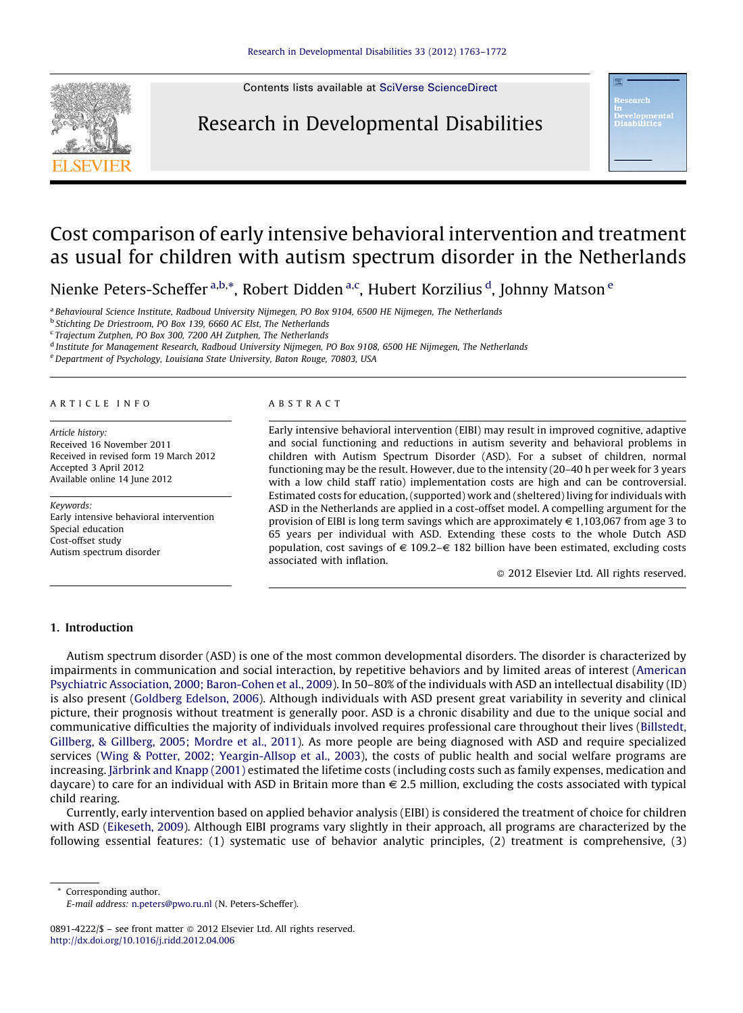

Contents lists available at SciVerse [ScienceDirect](http://www.sciencedirect.com/science/journal/08914222)

# Research in Developmental Disabilities

орше<br>311+1 о

# Cost comparison of early intensive behavioral intervention and treatment as usual for children with autism spectrum disorder in the Netherlands

Nienke Peters-Scheffer<sup>a,b,\*</sup>, Robert Didden<sup>a,c</sup>, Hubert Korzilius <sup>d</sup>, Johnny Matson <sup>e</sup>

<sup>a</sup> Behavioural Science Institute, Radboud University Nijmegen, PO Box 9104, 6500 HE Nijmegen, The Netherlands

<sup>b</sup> Stichting De Driestroom, PO Box 139, 6660 AC Elst, The Netherlands

<sup>c</sup> Trajectum Zutphen, PO Box 300, 7200 AH Zutphen, The Netherlands

<sup>d</sup> Institute for Management Research, Radboud University Nijmegen, PO Box 9108, 6500 HE Nijmegen, The Netherlands

<sup>e</sup>Department of Psychology, Louisiana State University, Baton Rouge, 70803, USA

#### A R T I C L E I N F O

Article history: Received 16 November 2011 Received in revised form 19 March 2012 Accepted 3 April 2012 Available online 14 June 2012

Keywords: Early intensive behavioral intervention Special education Cost-offset study Autism spectrum disorder

#### A B S T R A C T

Early intensive behavioral intervention (EIBI) may result in improved cognitive, adaptive and social functioning and reductions in autism severity and behavioral problems in children with Autism Spectrum Disorder (ASD). For a subset of children, normal functioning may be the result. However, due to the intensity (20–40 h per week for 3 years with a low child staff ratio) implementation costs are high and can be controversial. Estimated costs for education, (supported) work and (sheltered) living for individuals with ASD in the Netherlands are applied in a cost-offset model. A compelling argument for the provision of EIBI is long term savings which are approximately  $\in$  1,103,067 from age 3 to 65 years per individual with ASD. Extending these costs to the whole Dutch ASD population, cost savings of  $\epsilon$  109.2– $\epsilon$  182 billion have been estimated, excluding costs associated with inflation.

- 2012 Elsevier Ltd. All rights reserved.

### 1. Introduction

Autism spectrum disorder (ASD) is one of the most common developmental disorders. The disorder is characterized by impairments in communication and social interaction, by repetitive behaviors and by limited areas of interest ([American](#page-7-0) Psychiatric Association, 2000; [Baron-Cohen](#page-7-0) et al., 2009). In 50–80% of the individuals with ASD an intellectual disability (ID) is also present [\(Goldberg](#page-8-0) Edelson, 2006). Although individuals with ASD present great variability in severity and clinical picture, their prognosis without treatment is generally poor. ASD is a chronic disability and due to the unique social and communicative difficulties the majority of individuals involved requires professional care throughout their lives ([Billstedt,](#page-7-0) Gillberg, & [Gillberg,](#page-7-0) 2005; Mordre et al., 2011). As more people are being diagnosed with ASD and require specialized services (Wing & Potter, 2002; [Yeargin-Allsop](#page-9-0) et al., 2003), the costs of public health and social welfare programs are increasing. Järbrink and Knapp [\(2001\)](#page-8-0) estimated the lifetime costs (including costs such as family expenses, medication and daycare) to care for an individual with ASD in Britain more than  $\epsilon$  2.5 million, excluding the costs associated with typical child rearing.

Currently, early intervention based on applied behavior analysis (EIBI) is considered the treatment of choice for children with ASD ([Eikeseth,](#page-8-0) 2009). Although EIBI programs vary slightly in their approach, all programs are characterized by the following essential features: (1) systematic use of behavior analytic principles, (2) treatment is comprehensive, (3)

\* Corresponding author.

E-mail address: [n.peters@pwo.ru.nl](mailto:n.peters@pwo.ru.nl) (N. Peters-Scheffer).

<sup>0891-4222/\$ –</sup> see front matter © 2012 Elsevier Ltd. All rights reserved. <http://dx.doi.org/10.1016/j.ridd.2012.04.006>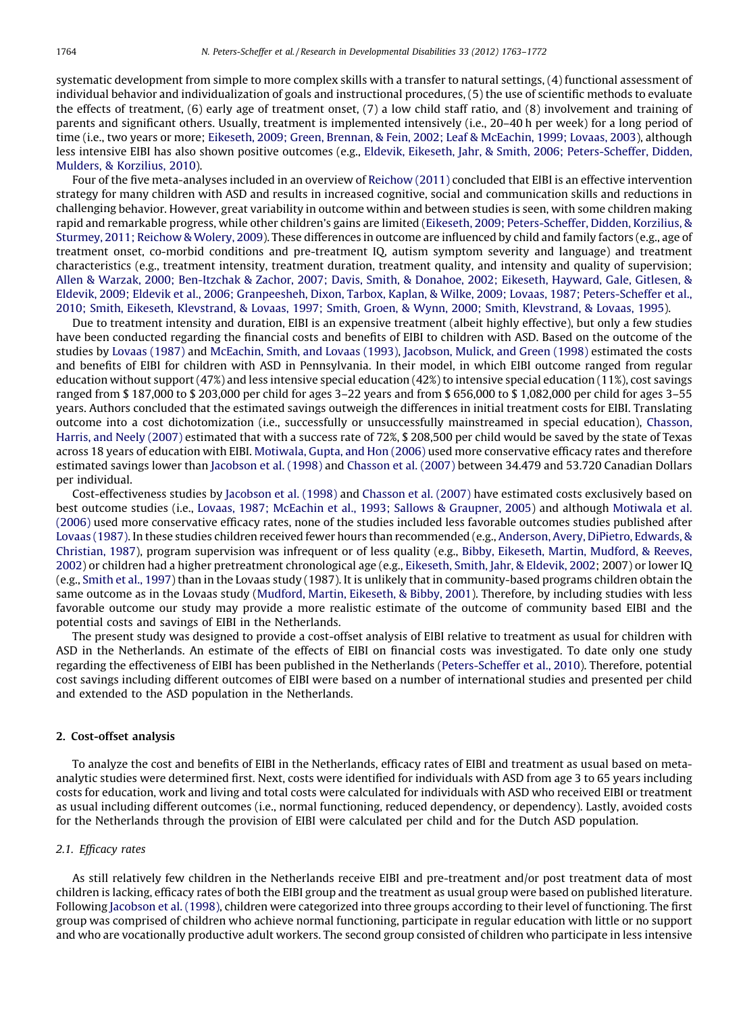systematic development from simple to more complex skills with a transfer to natural settings, (4) functional assessment of individual behavior and individualization of goals and instructional procedures, (5) the use of scientific methods to evaluate the effects of treatment, (6) early age of treatment onset, (7) a low child staff ratio, and (8) involvement and training of parents and significant others. Usually, treatment is implemented intensively (i.e., 20–40 h per week) for a long period of time (i.e., two years or more; Eikeseth, 2009; Green, Brennan, & Fein, 2002; Leaf & [McEachin,](#page-8-0) 1999; Lovaas, 2003), although less intensive EIBI has also shown positive outcomes (e.g., Eldevik, Eikeseth, Jahr, & Smith, 2006; [Peters-Scheffer,](#page-8-0) Didden, Mulders, & [Korzilius,](#page-8-0) 2010).

Four of the five meta-analyses included in an overview of [Reichow](#page-8-0) (2011) concluded that EIBI is an effective intervention strategy for many children with ASD and results in increased cognitive, social and communication skills and reductions in challenging behavior. However, great variability in outcome within and between studies is seen, with some children making rapid and remarkable progress, while other children's gains are limited (Eikeseth, 2009; [Peters-Scheffer,](#page-8-0) Didden, Korzilius, & [Sturmey,](#page-8-0) 2011; Reichow & Wolery, 2009). These differences in outcome are influenced by child and family factors (e.g., age of treatment onset, co-morbid conditions and pre-treatment IQ, autism symptom severity and language) and treatment characteristics (e.g., treatment intensity, treatment duration, treatment quality, and intensity and quality of supervision; Allen & Warzak, 2000; [Ben-Itzchak](#page-7-0) & Zachor, 2007; Davis, Smith, & Donahoe, 2002; Eikeseth, Hayward, Gale, Gitlesen, & Eldevik, 2009; Eldevik et al., 2006; Granpeesheh, Dixon, Tarbox, Kaplan, & Wilke, 2009; Lovaas, 1987; [Peters-Scheffer](#page-8-0) et al., 2010; Smith, Eikeseth, [Klevstrand,](#page-8-0) & Lovaas, 1997; Smith, Groen, & Wynn, 2000; Smith, Klevstrand, & Lovaas, 1995).

Due to treatment intensity and duration, EIBI is an expensive treatment (albeit highly effective), but only a few studies have been conducted regarding the financial costs and benefits of EIBI to children with ASD. Based on the outcome of the studies by [Lovaas](#page-8-0) (1987) and [McEachin,](#page-8-0) Smith, and Lovaas (1993), [Jacobson,](#page-8-0) Mulick, and Green (1998) estimated the costs and benefits of EIBI for children with ASD in Pennsylvania. In their model, in which EIBI outcome ranged from regular education without support (47%) and less intensive special education (42%) to intensive special education (11%), cost savings ranged from \$ 187,000 to \$ 203,000 per child for ages 3–22 years and from \$ 656,000 to \$ 1,082,000 per child for ages 3–55 years. Authors concluded that the estimated savings outweigh the differences in initial treatment costs for EIBI. Translating outcome into a cost dichotomization (i.e., successfully or unsuccessfully mainstreamed in special education), [Chasson,](#page-7-0) [Harris,](#page-7-0) and Neely (2007) estimated that with a success rate of 72%, \$ 208,500 per child would be saved by the state of Texas across 18 years of education with EIBI. [Motiwala,](#page-8-0) Gupta, and Hon (2006) used more conservative efficacy rates and therefore estimated savings lower than [Jacobson](#page-8-0) et al. (1998) and [Chasson](#page-7-0) et al. (2007) between 34.479 and 53.720 Canadian Dollars per individual.

Cost-effectiveness studies by [Jacobson](#page-8-0) et al. (1998) and [Chasson](#page-7-0) et al. (2007) have estimated costs exclusively based on best outcome studies (i.e., Lovaas, 1987; McEachin et al., 1993; Sallows & [Graupner,](#page-8-0) 2005) and although [Motiwala](#page-8-0) et al. [\(2006\)](#page-8-0) used more conservative efficacy rates, none of the studies included less favorable outcomes studies published after Lovaas [\(1987\).](#page-8-0) In these studies children received fewer hours than recommended (e.g., [Anderson,](#page-7-0) Avery, DiPietro, Edwards, & [Christian,](#page-7-0) 1987), program supervision was infrequent or of less quality (e.g., Bibby, Eikeseth, Martin, [Mudford,](#page-7-0) & Reeves, [2002](#page-7-0)) or children had a higher pretreatment chronological age (e.g., [Eikeseth,](#page-8-0) Smith, Jahr, & Eldevik, 2002; 2007) or lower IQ (e.g., [Smith](#page-9-0) et al., 1997) than in the Lovaas study (1987). It is unlikely that in community-based programs children obtain the same outcome as in the Lovaas study [\(Mudford,](#page-8-0) Martin, Eikeseth, & Bibby, 2001). Therefore, by including studies with less favorable outcome our study may provide a more realistic estimate of the outcome of community based EIBI and the potential costs and savings of EIBI in the Netherlands.

The present study was designed to provide a cost-offset analysis of EIBI relative to treatment as usual for children with ASD in the Netherlands. An estimate of the effects of EIBI on financial costs was investigated. To date only one study regarding the effectiveness of EIBI has been published in the Netherlands ([Peters-Scheffer](#page-8-0) et al., 2010). Therefore, potential cost savings including different outcomes of EIBI were based on a number of international studies and presented per child and extended to the ASD population in the Netherlands.

# 2. Cost-offset analysis

To analyze the cost and benefits of EIBI in the Netherlands, efficacy rates of EIBI and treatment as usual based on metaanalytic studies were determined first. Next, costs were identified for individuals with ASD from age 3 to 65 years including costs for education, work and living and total costs were calculated for individuals with ASD who received EIBI or treatment as usual including different outcomes (i.e., normal functioning, reduced dependency, or dependency). Lastly, avoided costs for the Netherlands through the provision of EIBI were calculated per child and for the Dutch ASD population.

## 2.1. Efficacy rates

As still relatively few children in the Netherlands receive EIBI and pre-treatment and/or post treatment data of most children is lacking, efficacy rates of both the EIBI group and the treatment as usual group were based on published literature. Following [Jacobson](#page-8-0) et al. (1998), children were categorized into three groups according to their level of functioning. The first group was comprised of children who achieve normal functioning, participate in regular education with little or no support and who are vocationally productive adult workers. The second group consisted of children who participate in less intensive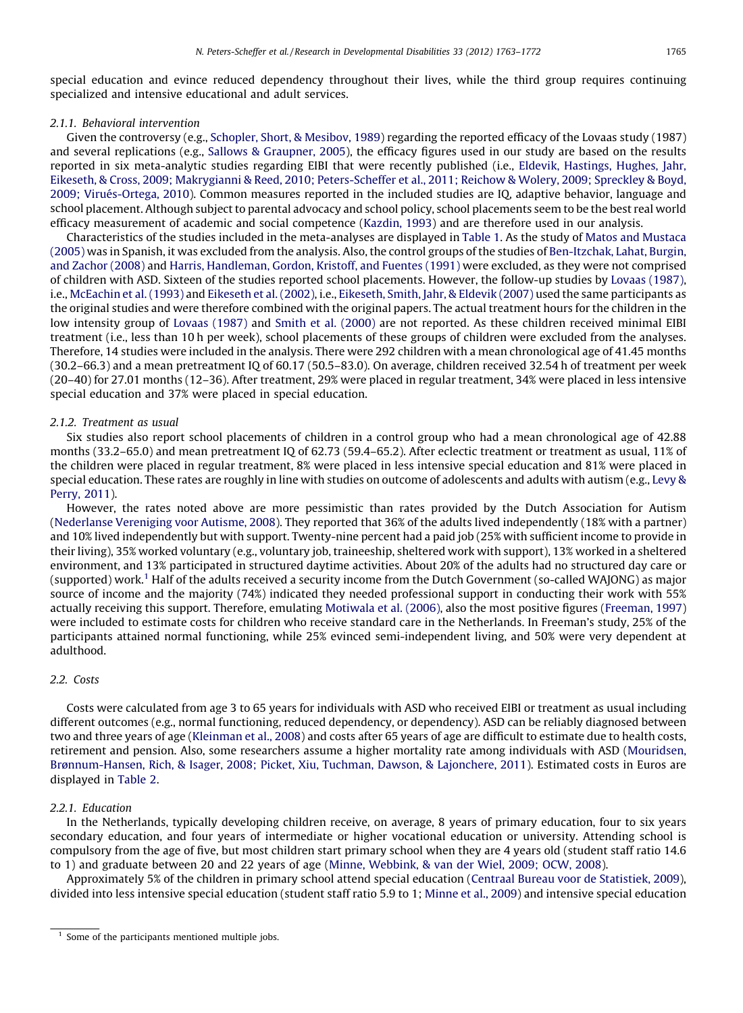special education and evince reduced dependency throughout their lives, while the third group requires continuing specialized and intensive educational and adult services.

# 2.1.1. Behavioral intervention

Given the controversy (e.g., [Schopler,](#page-9-0) Short, & Mesibov, 1989) regarding the reported efficacy of the Lovaas study (1987) and several replications (e.g., Sallows & [Graupner,](#page-9-0) 2005), the efficacy figures used in our study are based on the results reported in six meta-analytic studies regarding EIBI that were recently published (i.e., Eldevik, [Hastings,](#page-8-0) Hughes, Jahr, Eikeseth, & Cross, 2009; Makrygianni & Reed, 2010; [Peters-Scheffer](#page-8-0) et al., 2011; Reichow & Wolery, 2009; Spreckley & Boyd, 2009; Virué[s-Ortega,](#page-8-0) 2010). Common measures reported in the included studies are IQ, adaptive behavior, language and school placement. Although subject to parental advocacy and school policy, school placements seem to be the best real world efficacy measurement of academic and social competence ([Kazdin,](#page-8-0) 1993) and are therefore used in our analysis.

Characteristics of the studies included in the meta-analyses are displayed in [Table](#page-3-0) 1. As the study of Matos and [Mustaca](#page-8-0) [\(2005\)](#page-8-0) was in Spanish, it was excluded from the analysis. Also, the control groups of the studies of [Ben-Itzchak,](#page-7-0) Lahat, Burgin, and [Zachor](#page-7-0) (2008) and Harris, [Handleman,](#page-8-0) Gordon, Kristoff, and Fuentes (1991) were excluded, as they were not comprised of children with ASD. Sixteen of the studies reported school placements. However, the follow-up studies by [Lovaas](#page-8-0) (1987), i.e., [McEachin](#page-8-0) et al. (1993) and [Eikeseth](#page-8-0) et al. (2002), i.e., [Eikeseth,](#page-8-0) Smith, Jahr, & Eldevik (2007) used the same participants as the original studies and were therefore combined with the original papers. The actual treatment hours for the children in the low intensity group of [Lovaas](#page-8-0) (1987) and Smith et al. [\(2000\)](#page-9-0) are not reported. As these children received minimal EIBI treatment (i.e., less than 10 h per week), school placements of these groups of children were excluded from the analyses. Therefore, 14 studies were included in the analysis. There were 292 children with a mean chronological age of 41.45 months (30.2–66.3) and a mean pretreatment IQ of 60.17 (50.5–83.0). On average, children received 32.54 h of treatment per week (20–40) for 27.01 months (12–36). After treatment, 29% were placed in regular treatment, 34% were placed in less intensive special education and 37% were placed in special education.

### 2.1.2. Treatment as usual

Six studies also report school placements of children in a control group who had a mean chronological age of 42.88 months (33.2–65.0) and mean pretreatment IQ of 62.73 (59.4–65.2). After eclectic treatment or treatment as usual, 11% of the children were placed in regular treatment, 8% were placed in less intensive special education and 81% were placed in special education. These rates are roughly in line with studies on outcome of adolescents and adults with autism (e.g., [Levy](#page-8-0) & [Perry,](#page-8-0) 2011).

However, the rates noted above are more pessimistic than rates provided by the Dutch Association for Autism ([Nederlanse](#page-8-0) Vereniging voor Autisme, 2008). They reported that 36% of the adults lived independently (18% with a partner) and 10% lived independently but with support. Twenty-nine percent had a paid job (25% with sufficient income to provide in their living), 35% worked voluntary (e.g., voluntary job, traineeship, sheltered work with support), 13% worked in a sheltered environment, and 13% participated in structured daytime activities. About 20% of the adults had no structured day care or (supported) work.1 Half of the adults received a security income from the Dutch Government (so-called WAJONG) as major source of income and the majority (74%) indicated they needed professional support in conducting their work with 55% actually receiving this support. Therefore, emulating [Motiwala](#page-8-0) et al. (2006), also the most positive figures ([Freeman,](#page-8-0) 1997) were included to estimate costs for children who receive standard care in the Netherlands. In Freeman's study, 25% of the participants attained normal functioning, while 25% evinced semi-independent living, and 50% were very dependent at adulthood.

# 2.2. Costs

Costs were calculated from age 3 to 65 years for individuals with ASD who received EIBI or treatment as usual including different outcomes (e.g., normal functioning, reduced dependency, or dependency). ASD can be reliably diagnosed between two and three years of age [\(Kleinman](#page-8-0) et al., 2008) and costs after 65 years of age are difficult to estimate due to health costs, retirement and pension. Also, some researchers assume a higher mortality rate among individuals with ASD ([Mouridsen,](#page-8-0) [Brønnum-Hansen,](#page-8-0) Rich, & Isager, 2008; Picket, Xiu, Tuchman, Dawson, & Lajonchere, 2011). Estimated costs in Euros are displayed in [Table](#page-4-0) 2.

#### 2.2.1. Education

In the Netherlands, typically developing children receive, on average, 8 years of primary education, four to six years secondary education, and four years of intermediate or higher vocational education or university. Attending school is compulsory from the age of five, but most children start primary school when they are 4 years old (student staff ratio 14.6 to 1) and graduate between 20 and 22 years of age (Minne, [Webbink,](#page-8-0) & van der Wiel, 2009; OCW, 2008).

Approximately 5% of the children in primary school attend special education (Centraal Bureau voor de [Statistiek,](#page-7-0) 2009), divided into less intensive special education (student staff ratio 5.9 to 1; [Minne](#page-8-0) et al., 2009) and intensive special education

 $1$  Some of the participants mentioned multiple jobs.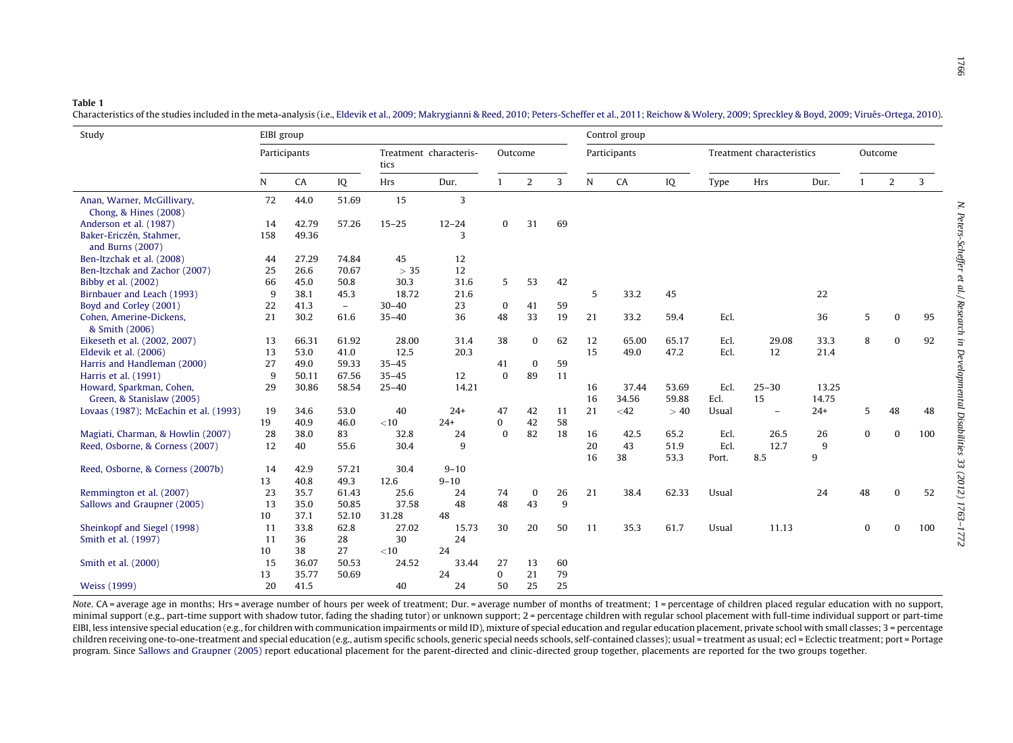#### <span id="page-3-0"></span>Table 1

Characteristics of the studies included in the meta-analysis (i.e., Eldevik et al., 2009; [Makrygianni](#page-8-0) & Reed, 2010; Peters-Scheffer et al., 2011; Reichow & Wolery, 2009; Spreckley & Boyd, 2009; Virués-Ortega, 2010).

| Study                                       |              | EIBI group |          |                                |           |              |                |    | Control group |        |                           |       |           |         |              |              |     |
|---------------------------------------------|--------------|------------|----------|--------------------------------|-----------|--------------|----------------|----|---------------|--------|---------------------------|-------|-----------|---------|--------------|--------------|-----|
|                                             | Participants |            |          | Treatment characteris-<br>tics |           | Outcome      |                |    | Participants  |        | Treatment characteristics |       |           | Outcome |              |              |     |
|                                             | N            | CA         | IQ       | Hrs                            | Dur.      | $\mathbf{1}$ | $\overline{2}$ | 3  | N             | CA     | IQ                        | Type  | Hrs       | Dur.    | $\mathbf{1}$ | 2            | 3   |
| Anan, Warner, McGillivary,                  | 72           | 44.0       | 51.69    | 15                             | 3         |              |                |    |               |        |                           |       |           |         |              |              |     |
| Chong, & Hines (2008)                       |              |            |          |                                |           |              |                |    |               |        |                           |       |           |         |              |              |     |
| Anderson et al. (1987)                      | 14           | 42.79      | 57.26    | $15 - 25$                      | $12 - 24$ | $\Omega$     | 31             | 69 |               |        |                           |       |           |         |              |              |     |
| Baker-Ericzén, Stahmer,<br>and Burns (2007) | 158          | 49.36      |          |                                | 3         |              |                |    |               |        |                           |       |           |         |              |              |     |
| Ben-Itzchak et al. (2008)                   | 44           | 27.29      | 74.84    | 45                             | 12        |              |                |    |               |        |                           |       |           |         |              |              |     |
| Ben-Itzchak and Zachor (2007)               | 25           | 26.6       | 70.67    | > 35                           | 12        |              |                |    |               |        |                           |       |           |         |              |              |     |
| Bibby et al. (2002)                         | 66           | 45.0       | 50.8     | 30.3                           | 31.6      | 5            | 53             | 42 |               |        |                           |       |           |         |              |              |     |
| Birnbauer and Leach (1993)                  | 9            | 38.1       | 45.3     | 18.72                          | 21.6      |              |                |    | 5             | 33.2   | 45                        |       |           | 22      |              |              |     |
| Boyd and Corley (2001)                      | 22           | 41.3       | $\equiv$ | $30 - 40$                      | 23        | $\bf{0}$     | 41             | 59 |               |        |                           |       |           |         |              |              |     |
| Cohen, Amerine-Dickens,                     | 21           | 30.2       | 61.6     | $35 - 40$                      | 36        | 48           | 33             | 19 | 21            | 33.2   | 59.4                      | Ecl.  |           | 36      | 5            | $\mathbf{0}$ | 95  |
| & Smith (2006)                              |              |            |          |                                |           |              |                |    |               |        |                           |       |           |         |              |              |     |
| Eikeseth et al. (2002, 2007)                | 13           | 66.31      | 61.92    | 28.00                          | 31.4      | 38           | $\bf{0}$       | 62 | 12            | 65.00  | 65.17                     | Ecl.  | 29.08     | 33.3    | 8            | 0            | 92  |
| Eldevik et al. (2006)                       | 13           | 53.0       | 41.0     | 12.5                           | 20.3      |              |                |    | 15            | 49.0   | 47.2                      | Ecl.  | 12        | 21.4    |              |              |     |
| Harris and Handleman (2000)                 | 27           | 49.0       | 59.33    | $35 - 45$                      |           | 41           | $\mathbf{0}$   | 59 |               |        |                           |       |           |         |              |              |     |
| Harris et al. (1991)                        | 9            | 50.11      | 67.56    | $35 - 45$                      | 12        | $\mathbf{0}$ | 89             | 11 |               |        |                           |       |           |         |              |              |     |
| Howard, Sparkman, Cohen,                    | 29           | 30.86      | 58.54    | $25 - 40$                      | 14.21     |              |                |    | 16            | 37.44  | 53.69                     | Ecl.  | $25 - 30$ | 13.25   |              |              |     |
| Green, & Stanislaw (2005)                   |              |            |          |                                |           |              |                |    | 16            | 34.56  | 59.88                     | Ecl.  | 15        | 14.75   |              |              |     |
| Lovaas (1987); McEachin et al. (1993)       | 19           | 34.6       | 53.0     | 40                             | $24+$     | 47           | 42             | 11 | 21            | $<$ 42 | >40                       | Usual | $\equiv$  | $24+$   | 5            | 48           | 48  |
|                                             | 19           | 40.9       | 46.0     | $<$ 10                         | $24+$     | 0            | 42             | 58 |               |        |                           |       |           |         |              |              |     |
| Magiati, Charman, & Howlin (2007)           | 28           | 38.0       | 83       | 32.8                           | 24        | $\bf{0}$     | 82             | 18 | 16            | 42.5   | 65.2                      | Ecl.  | 26.5      | 26      | 0            | $\mathbf{0}$ | 100 |
| Reed, Osborne, & Corness (2007)             | 12           | 40         | 55.6     | 30.4                           | 9         |              |                |    | 20            | 43     | 51.9                      | Ecl.  | 12.7      | 9       |              |              |     |
|                                             |              |            |          |                                |           |              |                |    | 16            | 38     | 53.3                      | Port. | 8.5       | 9       |              |              |     |
| Reed, Osborne, & Corness (2007b)            | 14           | 42.9       | 57.21    | 30.4                           | $9 - 10$  |              |                |    |               |        |                           |       |           |         |              |              |     |
|                                             | 13           | 40.8       | 49.3     | 12.6                           | $9 - 10$  |              |                |    |               |        |                           |       |           |         |              |              |     |
| Remmington et al. (2007)                    | 23           | 35.7       | 61.43    | 25.6                           | 24        | 74           | 0              | 26 | 21            | 38.4   | 62.33                     | Usual |           | 24      | 48           | $\bf{0}$     | 52  |
| Sallows and Graupner (2005)                 | 13           | 35.0       | 50.85    | 37.58                          | 48        | 48           | 43             | 9  |               |        |                           |       |           |         |              |              |     |
|                                             | 10           | 37.1       | 52.10    | 31.28                          | 48        |              |                |    |               |        |                           |       |           |         |              |              |     |
| Sheinkopf and Siegel (1998)                 | 11           | 33.8       | 62.8     | 27.02                          | 15.73     | 30           | 20             | 50 | 11            | 35.3   | 61.7                      | Usual | 11.13     |         | 0            | $\Omega$     | 100 |
| Smith et al. (1997)                         | 11           | 36         | 28       | 30                             | 24        |              |                |    |               |        |                           |       |           |         |              |              |     |
|                                             | 10           | 38         | 27       | $<$ 10                         | 24        |              |                |    |               |        |                           |       |           |         |              |              |     |
| Smith et al. (2000)                         | 15           | 36.07      | 50.53    | 24.52                          | 33.44     | 27           | 13             | 60 |               |        |                           |       |           |         |              |              |     |
|                                             | 13           | 35.77      | 50.69    |                                | 24        | $\mathbf{0}$ | 21             | 79 |               |        |                           |       |           |         |              |              |     |
| <b>Weiss</b> (1999)                         | 20           | 41.5       |          | 40                             | 24        | 50           | 25             | 25 |               |        |                           |       |           |         |              |              |     |

Note. CA = average age in months; Hrs = average number of hours per week of treatment; Dur. = average number of months of treatment; 1 = percentage of children placed regular education with no support, minimal support (e.g., part-time support with shadow tutor, fading the shading tutor) or unknown support; 2 = percentage children with regular school placement with full-time individual support or part-time EIBI, less intensive special education (e.g., for children with communication impairments or mild ID), mixture of special education and regular education placement, private school with small classes; 3 = percentage children receiving one-to-one-treatment and special education (e.g., autism specific schools, generic special needs schools, self-contained classes); usual <sup>=</sup> treatment as usual; ecl <sup>=</sup> Eclectic treatment; port <sup>=</sup> Portage program. Since Sallows and [Graupner](#page-9-0) (2005) report educational placement for the parent-directed and clinic-directed group together, placements are reported for the two groups together.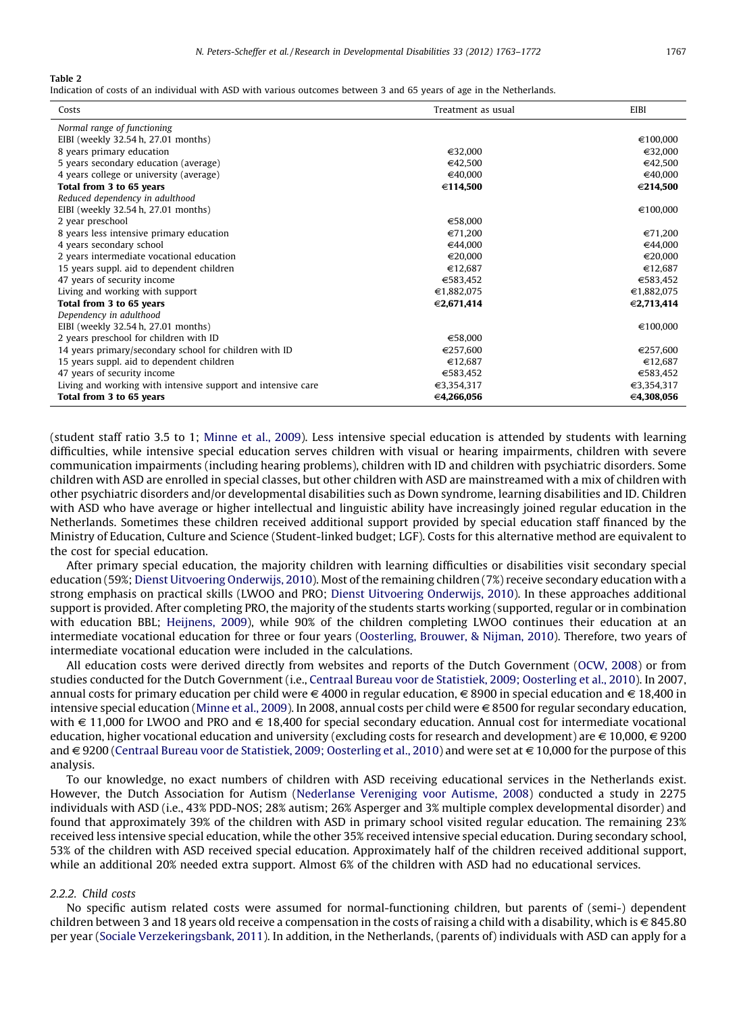<span id="page-4-0"></span>Indication of costs of an individual with ASD with various outcomes between 3 and 65 years of age in the Netherlands.

| Costs                                                        | Treatment as usual | EIBI       |
|--------------------------------------------------------------|--------------------|------------|
| Normal range of functioning                                  |                    |            |
| EIBI (weekly 32.54 h, 27.01 months)                          |                    | €100,000   |
| 8 years primary education                                    | €32,000            | €32,000    |
| 5 years secondary education (average)                        | €42.500            | €42,500    |
| 4 years college or university (average)                      | €40,000            | €40,000    |
| Total from 3 to 65 years                                     | €114,500           | €214,500   |
| Reduced dependency in adulthood                              |                    |            |
| EIBI (weekly 32.54 h, 27.01 months)                          |                    | €100,000   |
| 2 year preschool                                             | €58,000            |            |
| 8 years less intensive primary education                     | €71.200            | €71.200    |
| 4 years secondary school                                     | €44,000            | €44,000    |
| 2 years intermediate vocational education                    | €20.000            | €20,000    |
| 15 years suppl. aid to dependent children                    | €12,687            | €12,687    |
| 47 years of security income                                  | €583.452           | €583,452   |
| Living and working with support                              | €1,882,075         | €1,882,075 |
| Total from 3 to 65 years                                     | €2,671,414         | €2,713,414 |
| Dependency in adulthood                                      |                    |            |
| EIBI (weekly 32.54 h, 27.01 months)                          |                    | €100,000   |
| 2 years preschool for children with ID                       | €58,000            |            |
| 14 years primary/secondary school for children with ID       | €257,600           | €257,600   |
| 15 years suppl. aid to dependent children                    | €12.687            | €12,687    |
| 47 years of security income                                  | €583,452           | €583,452   |
| Living and working with intensive support and intensive care | €3,354,317         | €3,354,317 |
| Total from 3 to 65 years                                     | €4,266,056         | ∈4,308,056 |

(student staff ratio 3.5 to 1; [Minne](#page-8-0) et al., 2009). Less intensive special education is attended by students with learning difficulties, while intensive special education serves children with visual or hearing impairments, children with severe communication impairments (including hearing problems), children with ID and children with psychiatric disorders. Some children with ASD are enrolled in special classes, but other children with ASD are mainstreamed with a mix of children with other psychiatric disorders and/or developmental disabilities such as Down syndrome, learning disabilities and ID. Children with ASD who have average or higher intellectual and linguistic ability have increasingly joined regular education in the Netherlands. Sometimes these children received additional support provided by special education staff financed by the Ministry of Education, Culture and Science (Student-linked budget; LGF). Costs for this alternative method are equivalent to the cost for special education.

After primary special education, the majority children with learning difficulties or disabilities visit secondary special education (59%; Dienst Uitvoering [Onderwijs,](#page-8-0) 2010). Most of the remaining children (7%) receive secondary education with a strong emphasis on practical skills (LWOO and PRO; Dienst Uitvoering [Onderwijs,](#page-8-0) 2010). In these approaches additional support is provided. After completing PRO, the majority of the students starts working (supported, regular or in combination with education BBL; [Heijnens,](#page-8-0) 2009), while 90% of the children completing LWOO continues their education at an intermediate vocational education for three or four years ([Oosterling,](#page-8-0) Brouwer, & Nijman, 2010). Therefore, two years of intermediate vocational education were included in the calculations.

All education costs were derived directly from websites and reports of the Dutch Government ([OCW,](#page-8-0) 2008) or from studies conducted for the Dutch Government (i.e., Centraal Bureau voor de Statistiek, 2009; [Oosterling](#page-7-0) et al., 2010). In 2007, annual costs for primary education per child were  $\in$  4000 in regular education,  $\in$  8900 in special education and  $\in$  18,400 in intensive special education ([Minne](#page-8-0) et al., 2009). In 2008, annual costs per child were  $\in$  8500 for regular secondary education, with  $\in$  11,000 for LWOO and PRO and  $\in$  18,400 for special secondary education. Annual cost for intermediate vocational education, higher vocational education and university (excluding costs for research and development) are  $\in$  10,000,  $\in$  9200 and  $\in$  9200 (Centraal Bureau voor de Statistiek, 2009; [Oosterling](#page-7-0) et al., 2010) and were set at  $\in$  10,000 for the purpose of this analysis.

To our knowledge, no exact numbers of children with ASD receiving educational services in the Netherlands exist. However, the Dutch Association for Autism [\(Nederlanse](#page-8-0) Vereniging voor Autisme, 2008) conducted a study in 2275 individuals with ASD (i.e., 43% PDD-NOS; 28% autism; 26% Asperger and 3% multiple complex developmental disorder) and found that approximately 39% of the children with ASD in primary school visited regular education. The remaining 23% received less intensive special education, while the other 35% received intensive special education. During secondary school, 53% of the children with ASD received special education. Approximately half of the children received additional support, while an additional 20% needed extra support. Almost 6% of the children with ASD had no educational services.

#### 2.2.2. Child costs

No specific autism related costs were assumed for normal-functioning children, but parents of (semi-) dependent children between 3 and 18 years old receive a compensation in the costs of raising a child with a disability, which is  $\in$  845.80 per year (Sociale [Verzekeringsbank,](#page-9-0) 2011). In addition, in the Netherlands, (parents of) individuals with ASD can apply for a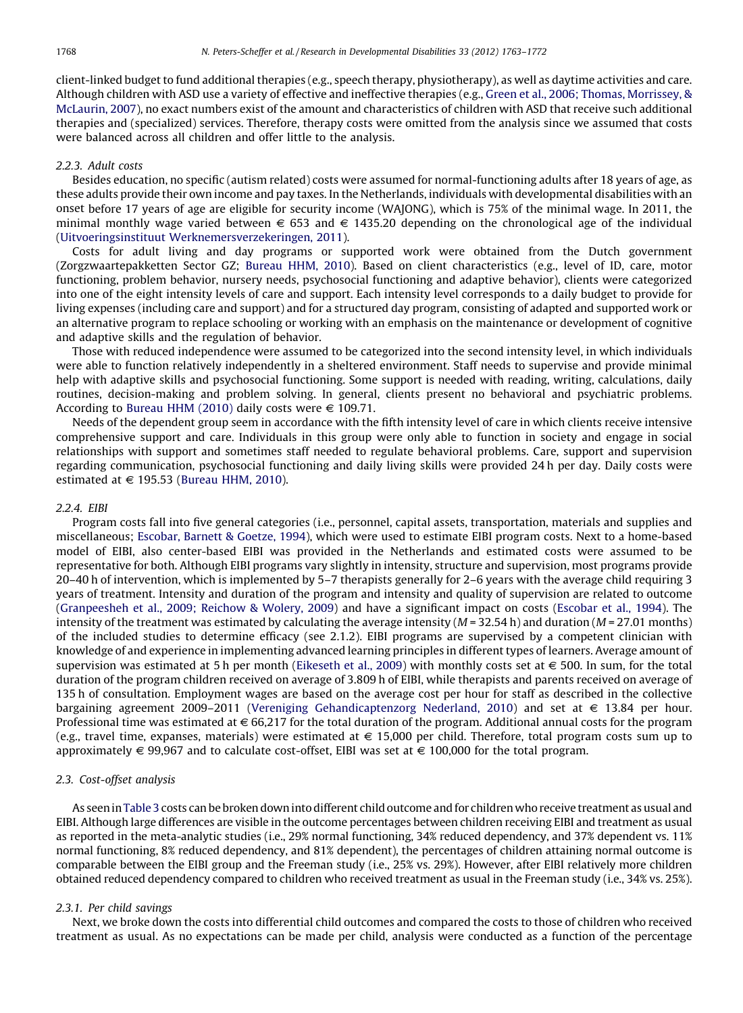client-linked budget to fund additional therapies (e.g., speech therapy, physiotherapy), as well as daytime activities and care. Although children with ASD use a variety of effective and ineffective therapies (e.g., Green et al., 2006; Thomas, [Morrissey,](#page-8-0) & [McLaurin,](#page-8-0) 2007), no exact numbers exist of the amount and characteristics of children with ASD that receive such additional therapies and (specialized) services. Therefore, therapy costs were omitted from the analysis since we assumed that costs were balanced across all children and offer little to the analysis.

## 2.2.3. Adult costs

Besides education, no specific (autism related) costs were assumed for normal-functioning adults after 18 years of age, as these adults provide their own income and pay taxes. In the Netherlands, individuals with developmental disabilities with an onset before 17 years of age are eligible for security income (WAJONG), which is 75% of the minimal wage. In 2011, the minimal monthly wage varied between  $\epsilon$  653 and  $\epsilon$  1435.20 depending on the chronological age of the individual (Uitvoeringsinstituut [Werknemersverzekeringen,](#page-9-0) 2011).

Costs for adult living and day programs or supported work were obtained from the Dutch government (Zorgzwaartepakketten Sector GZ; [Bureau](#page-7-0) HHM, 2010). Based on client characteristics (e.g., level of ID, care, motor functioning, problem behavior, nursery needs, psychosocial functioning and adaptive behavior), clients were categorized into one of the eight intensity levels of care and support. Each intensity level corresponds to a daily budget to provide for living expenses (including care and support) and for a structured day program, consisting of adapted and supported work or an alternative program to replace schooling or working with an emphasis on the maintenance or development of cognitive and adaptive skills and the regulation of behavior.

Those with reduced independence were assumed to be categorized into the second intensity level, in which individuals were able to function relatively independently in a sheltered environment. Staff needs to supervise and provide minimal help with adaptive skills and psychosocial functioning. Some support is needed with reading, writing, calculations, daily routines, decision-making and problem solving. In general, clients present no behavioral and psychiatric problems. According to [Bureau](#page-7-0) HHM (2010) daily costs were  $\in$  109.71.

Needs of the dependent group seem in accordance with the fifth intensity level of care in which clients receive intensive comprehensive support and care. Individuals in this group were only able to function in society and engage in social relationships with support and sometimes staff needed to regulate behavioral problems. Care, support and supervision regarding communication, psychosocial functioning and daily living skills were provided 24 h per day. Daily costs were estimated at  $\in$  195.53 ([Bureau](#page-7-0) HHM, 2010).

#### 2.2.4. EIBI

Program costs fall into five general categories (i.e., personnel, capital assets, transportation, materials and supplies and miscellaneous; [Escobar,](#page-8-0) Barnett & Goetze, 1994), which were used to estimate EIBI program costs. Next to a home-based model of EIBI, also center-based EIBI was provided in the Netherlands and estimated costs were assumed to be representative for both. Although EIBI programs vary slightly in intensity, structure and supervision, most programs provide 20–40 h of intervention, which is implemented by 5–7 therapists generally for 2–6 years with the average child requiring 3 years of treatment. Intensity and duration of the program and intensity and quality of supervision are related to outcome [\(Granpeesheh](#page-8-0) et al., 2009; Reichow & Wolery, 2009) and have a significant impact on costs [\(Escobar](#page-8-0) et al., 1994). The intensity of the treatment was estimated by calculating the average intensity ( $M = 32.54$  h) and duration ( $M = 27.01$  months) of the included studies to determine efficacy (see 2.1.2). EIBI programs are supervised by a competent clinician with knowledge of and experience in implementing advanced learning principles in different types of learners. Average amount of supervision was estimated at 5 h per month [\(Eikeseth](#page-8-0) et al., 2009) with monthly costs set at  $\epsilon$  500. In sum, for the total duration of the program children received on average of 3.809 h of EIBI, while therapists and parents received on average of 135 h of consultation. Employment wages are based on the average cost per hour for staff as described in the collective bargaining agreement 2009–2011 (Vereniging [Gehandicaptenzorg](#page-9-0) Nederland, 2010) and set at  $\epsilon$  13.84 per hour. Professional time was estimated at  $\in 66,217$  for the total duration of the program. Additional annual costs for the program (e.g., travel time, expanses, materials) were estimated at  $\epsilon$  15,000 per child. Therefore, total program costs sum up to approximately  $\in$  99,967 and to calculate cost-offset, EIBI was set at  $\in$  100,000 for the total program.

# 2.3. Cost-offset analysis

As seen in [Table](#page-6-0) 3 costs can be broken down into different child outcome and for children who receive treatment as usual and EIBI. Although large differences are visible in the outcome percentages between children receiving EIBI and treatment as usual as reported in the meta-analytic studies (i.e., 29% normal functioning, 34% reduced dependency, and 37% dependent vs. 11% normal functioning, 8% reduced dependency, and 81% dependent), the percentages of children attaining normal outcome is comparable between the EIBI group and the Freeman study (i.e., 25% vs. 29%). However, after EIBI relatively more children obtained reduced dependency compared to children who received treatment as usual in the Freeman study (i.e., 34% vs. 25%).

## 2.3.1. Per child savings

Next, we broke down the costs into differential child outcomes and compared the costs to those of children who received treatment as usual. As no expectations can be made per child, analysis were conducted as a function of the percentage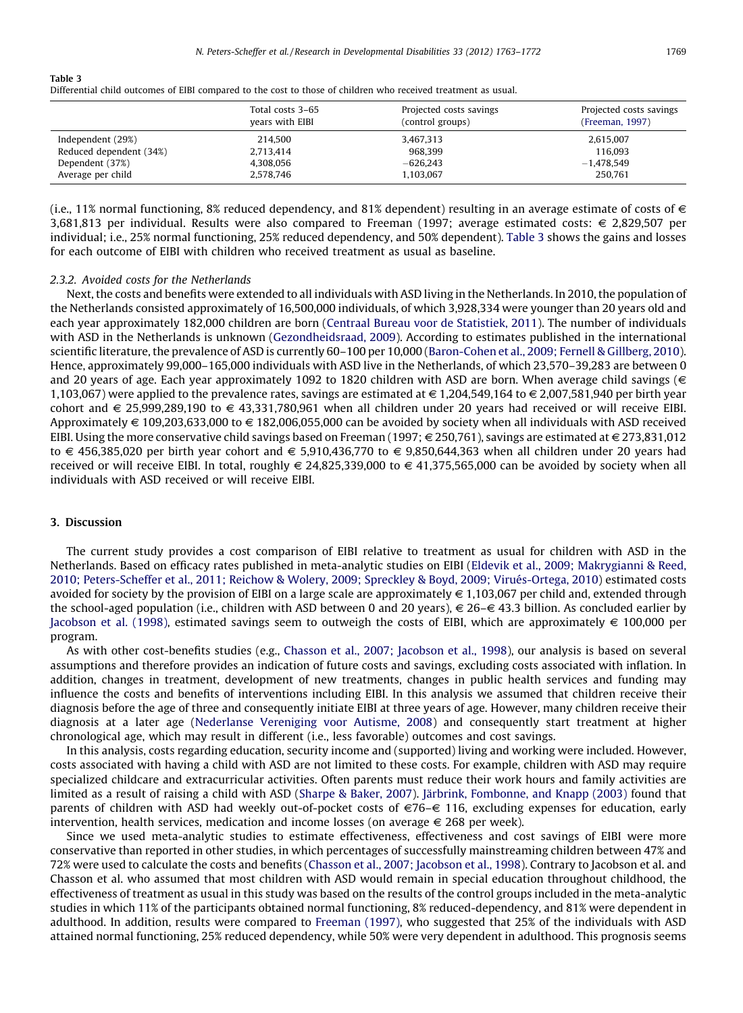<span id="page-6-0"></span>Table 3

| Differential child outcomes of EIBI compared to the cost to those of children who received treatment as usual. |  |
|----------------------------------------------------------------------------------------------------------------|--|
|----------------------------------------------------------------------------------------------------------------|--|

|                         | Total costs 3-65<br>years with EIBI | Projected costs savings<br>(control groups) | Projected costs savings<br>(Freeman, 1997) |
|-------------------------|-------------------------------------|---------------------------------------------|--------------------------------------------|
| Independent (29%)       | 214.500                             | 3,467,313                                   | 2,615,007                                  |
| Reduced dependent (34%) | 2,713,414                           | 968.399                                     | 116.093                                    |
| Dependent (37%)         | 4,308,056                           | $-626,243$                                  | $-1,478,549$                               |
| Average per child       | 2,578,746                           | 1,103,067                                   | 250.761                                    |

(i.e., 11% normal functioning, 8% reduced dependency, and 81% dependent) resulting in an average estimate of costs of  $\in$ 3,681,813 per individual. Results were also compared to Freeman (1997; average estimated costs: € 2,829,507 per individual; i.e., 25% normal functioning, 25% reduced dependency, and 50% dependent). Table 3 shows the gains and losses for each outcome of EIBI with children who received treatment as usual as baseline.

#### 2.3.2. Avoided costs for the Netherlands

Next, the costs and benefits were extended to all individuals with ASD living in the Netherlands. In 2010, the population of the Netherlands consisted approximately of 16,500,000 individuals, of which 3,928,334 were younger than 20 years old and each year approximately 182,000 children are born (Centraal Bureau voor de [Statistiek,](#page-7-0) 2011). The number of individuals with ASD in the Netherlands is unknown [\(Gezondheidsraad,](#page-8-0) 2009). According to estimates published in the international scientific literature, the prevalence of ASD is currently 60–100 per 10,000 [\(Baron-Cohen](#page-7-0) et al., 2009; Fernell & Gillberg, 2010). Hence, approximately 99,000–165,000 individuals with ASD live in the Netherlands, of which 23,570–39,283 are between 0 and 20 years of age. Each year approximately 1092 to 1820 children with ASD are born. When average child savings ( $\in$ 1,103,067) were applied to the prevalence rates, savings are estimated at  $\in 1,204,549,164$  to  $\in 2,007,581,940$  per birth year cohort and  $\epsilon$  25,999,289,190 to  $\epsilon$  43,331,780,961 when all children under 20 years had received or will receive EIBI. Approximately  $\in$  109,203,633,000 to  $\in$  182,006,055,000 can be avoided by society when all individuals with ASD received EIBI. Using the more conservative child savings based on Freeman (1997;  $\in$  250,761), savings are estimated at  $\in$  273,831,012 to  $\in$  456,385,020 per birth year cohort and  $\in$  5,910,436,770 to  $\in$  9,850,644,363 when all children under 20 years had received or will receive EIBI. In total, roughly  $\in$  24,825,339,000 to  $\in$  41,375,565,000 can be avoided by society when all individuals with ASD received or will receive EIBI.

#### 3. Discussion

The current study provides a cost comparison of EIBI relative to treatment as usual for children with ASD in the Netherlands. Based on efficacy rates published in meta-analytic studies on EIBI (Eldevik et al., 2009; [Makrygianni](#page-8-0) & Reed, 2010; [Peters-Scheffer](#page-8-0) et al., 2011; Reichow & Wolery, 2009; Spreckley & Boyd, 2009; Virués-Ortega, 2010) estimated costs avoided for society by the provision of EIBI on a large scale are approximately  $\in 1,103,067$  per child and, extended through the school-aged population (i.e., children with ASD between 0 and 20 years),  $\epsilon$  26– $\epsilon$  43.3 billion. As concluded earlier by [Jacobson](#page-8-0) et al. (1998), estimated savings seem to outweigh the costs of EIBI, which are approximately  $\epsilon$  100,000 per program.

As with other cost-benefits studies (e.g., Chasson et al., 2007; [Jacobson](#page-7-0) et al., 1998), our analysis is based on several assumptions and therefore provides an indication of future costs and savings, excluding costs associated with inflation. In addition, changes in treatment, development of new treatments, changes in public health services and funding may influence the costs and benefits of interventions including EIBI. In this analysis we assumed that children receive their diagnosis before the age of three and consequently initiate EIBI at three years of age. However, many children receive their diagnosis at a later age [\(Nederlanse](#page-8-0) Vereniging voor Autisme, 2008) and consequently start treatment at higher chronological age, which may result in different (i.e., less favorable) outcomes and cost savings.

In this analysis, costs regarding education, security income and (supported) living and working were included. However, costs associated with having a child with ASD are not limited to these costs. For example, children with ASD may require specialized childcare and extracurricular activities. Often parents must reduce their work hours and family activities are limited as a result of raising a child with ASD [\(Sharpe](#page-9-0) & Baker, 2007). Järbrink, [Fombonne,](#page-8-0) and Knapp (2003) found that parents of children with ASD had weekly out-of-pocket costs of  $\epsilon$ 76– $\epsilon$  116, excluding expenses for education, early intervention, health services, medication and income losses (on average  $\epsilon$  268 per week).

Since we used meta-analytic studies to estimate effectiveness, effectiveness and cost savings of EIBI were more conservative than reported in other studies, in which percentages of successfully mainstreaming children between 47% and 72% were used to calculate the costs and benefits (Chasson et al., 2007; [Jacobson](#page-7-0) et al., 1998). Contrary to Jacobson et al. and Chasson et al. who assumed that most children with ASD would remain in special education throughout childhood, the effectiveness of treatment as usual in this study was based on the results of the control groups included in the meta-analytic studies in which 11% of the participants obtained normal functioning, 8% reduced-dependency, and 81% were dependent in adulthood. In addition, results were compared to [Freeman](#page-8-0) (1997), who suggested that 25% of the individuals with ASD attained normal functioning, 25% reduced dependency, while 50% were very dependent in adulthood. This prognosis seems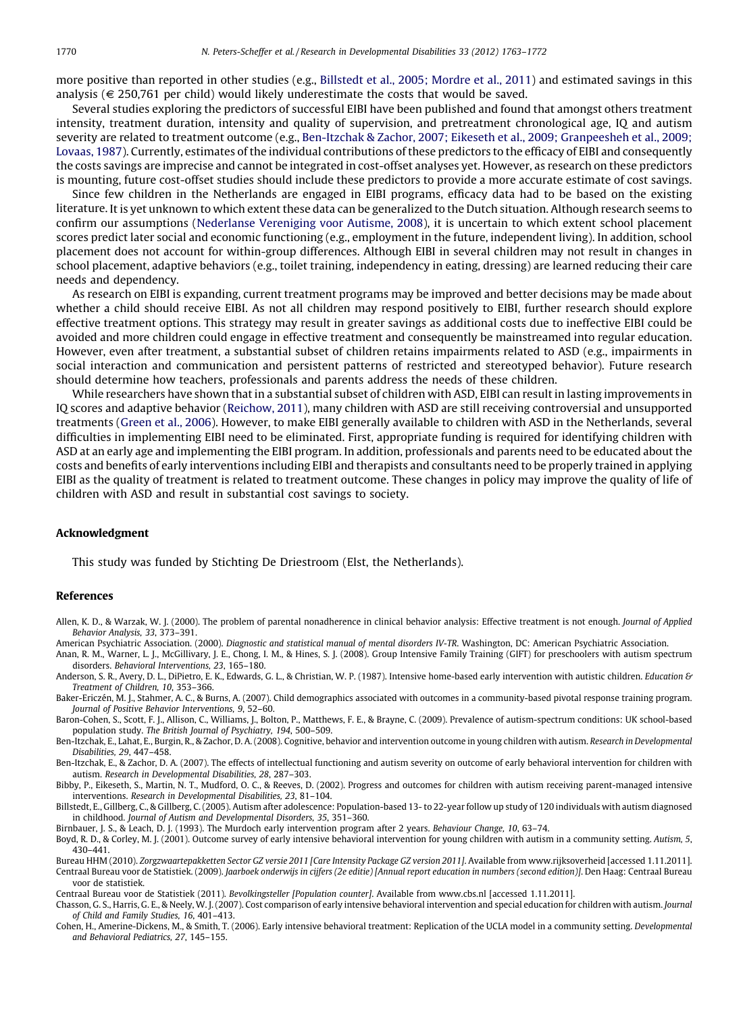<span id="page-7-0"></span>more positive than reported in other studies (e.g., Billstedt et al., 2005; Mordre et al., 2011) and estimated savings in this analysis ( $\epsilon$  250,761 per child) would likely underestimate the costs that would be saved.

Several studies exploring the predictors of successful EIBI have been published and found that amongst others treatment intensity, treatment duration, intensity and quality of supervision, and pretreatment chronological age, IQ and autism severity are related to treatment outcome (e.g., Ben-Itzchak & Zachor, 2007; Eikeseth et al., 2009; Granpeesheh et al., 2009; Lovaas, 1987). Currently, estimates of the individual contributions of these predictors to the efficacy of EIBI and consequently the costs savings are imprecise and cannot be integrated in cost-offset analyses yet. However, as research on these predictors is mounting, future cost-offset studies should include these predictors to provide a more accurate estimate of cost savings.

Since few children in the Netherlands are engaged in EIBI programs, efficacy data had to be based on the existing literature. It is yet unknown to which extent these data can be generalized to the Dutch situation. Although research seems to confirm our assumptions [\(Nederlanse](#page-8-0) Vereniging voor Autisme, 2008), it is uncertain to which extent school placement scores predict later social and economic functioning (e.g., employment in the future, independent living). In addition, school placement does not account for within-group differences. Although EIBI in several children may not result in changes in school placement, adaptive behaviors (e.g., toilet training, independency in eating, dressing) are learned reducing their care needs and dependency.

As research on EIBI is expanding, current treatment programs may be improved and better decisions may be made about whether a child should receive EIBI. As not all children may respond positively to EIBI, further research should explore effective treatment options. This strategy may result in greater savings as additional costs due to ineffective EIBI could be avoided and more children could engage in effective treatment and consequently be mainstreamed into regular education. However, even after treatment, a substantial subset of children retains impairments related to ASD (e.g., impairments in social interaction and communication and persistent patterns of restricted and stereotyped behavior). Future research should determine how teachers, professionals and parents address the needs of these children.

While researchers have shown that in a substantial subset of children with ASD, EIBI can result in lasting improvements in IQ scores and adaptive behavior ([Reichow,](#page-8-0) 2011), many children with ASD are still receiving controversial and unsupported treatments [\(Green](#page-8-0) et al., 2006). However, to make EIBI generally available to children with ASD in the Netherlands, several difficulties in implementing EIBI need to be eliminated. First, appropriate funding is required for identifying children with ASD at an early age and implementing the EIBI program. In addition, professionals and parents need to be educated about the costs and benefits of early interventions including EIBI and therapists and consultants need to be properly trained in applying EIBI as the quality of treatment is related to treatment outcome. These changes in policy may improve the quality of life of children with ASD and result in substantial cost savings to society.

# Acknowledgment

This study was funded by Stichting De Driestroom (Elst, the Netherlands).

#### References

Allen, K. D., & Warzak, W. J. (2000). The problem of parental nonadherence in clinical behavior analysis: Effective treatment is not enough. Journal of Applied Behavior Analysis, 33, 373–391.

American Psychiatric Association. (2000). Diagnostic and statistical manual of mental disorders IV-TR. Washington, DC: American Psychiatric Association.

Anan, R. M., Warner, L. J., McGillivary, J. E., Chong, I. M., & Hines, S. J. (2008). Group Intensive Family Training (GIFT) for preschoolers with autism spectrum disorders. Behavioral Interventions, 23, 165–180.

Anderson, S. R., Avery, D. L., DiPietro, E. K., Edwards, G. L., & Christian, W. P. (1987). Intensive home-based early intervention with autistic children. Education & Treatment of Children, 10, 353–366.

Baker-Ericzén, M. J., Stahmer, A. C., & Burns, A. (2007). Child demographics associated with outcomes in a community-based pivotal response training program. Journal of Positive Behavior Interventions, 9, 52–60.

Baron-Cohen, S., Scott, F. J., Allison, C., Williams, J., Bolton, P., Matthews, F. E., & Brayne, C. (2009). Prevalence of autism-spectrum conditions: UK school-based population study. The British Journal of Psychiatry, 194, 500–509.

Ben-Itzchak, E., Lahat, E., Burgin, R., & Zachor, D. A. (2008). Cognitive, behavior and intervention outcome in young children with autism. Research in Developmental Disabilities, 29, 447–458.

Ben-Itzchak, E., & Zachor, D. A. (2007). The effects of intellectual functioning and autism severity on outcome of early behavioral intervention for children with autism. Research in Developmental Disabilities, 28, 287–303.

Bibby, P., Eikeseth, S., Martin, N. T., Mudford, O. C., & Reeves, D. (2002). Progress and outcomes for children with autism receiving parent-managed intensive interventions. Research in Developmental Disabilities, 23, 81–104.

Billstedt, E., Gillberg, C., & Gillberg, C. (2005). Autism after adolescence: Population-based 13- to 22-year follow up study of 120 individuals with autism diagnosed in childhood. Journal of Autism and Developmental Disorders, 35, 351–360.

Birnbauer, J. S., & Leach, D. J. (1993). The Murdoch early intervention program after 2 years. Behaviour Change, 10, 63-74.

Boyd, R. D., & Corley, M. J. (2001). Outcome survey of early intensive behavioral intervention for young children with autism in a community setting. Autism, 5, 430–441.

Bureau HHM (2010). Zorgzwaartepakketten Sector GZ versie 2011 [Care Intensity Package GZ version 2011]. Available from www.rijksoverheid [accessed 1.11.2011]. Centraal Bureau voor de Statistiek. (2009). Jaarboek onderwijs in cijfers (2e editie) [Annual report education in numbers (second edition)]. Den Haag: Centraal Bureau voor de statistiek.

Centraal Bureau voor de Statistiek (2011). Bevolkingsteller [Population counter]. Available from www.cbs.nl [accessed 1.11.2011].

Chasson, G. S., Harris, G. E., & Neely, W. J.(2007). Cost comparison of early intensive behavioral intervention and special education for children with autism. Journal of Child and Family Studies, 16, 401–413.

Cohen, H., Amerine-Dickens, M., & Smith, T. (2006). Early intensive behavioral treatment: Replication of the UCLA model in a community setting. Developmental and Behavioral Pediatrics, 27, 145–155.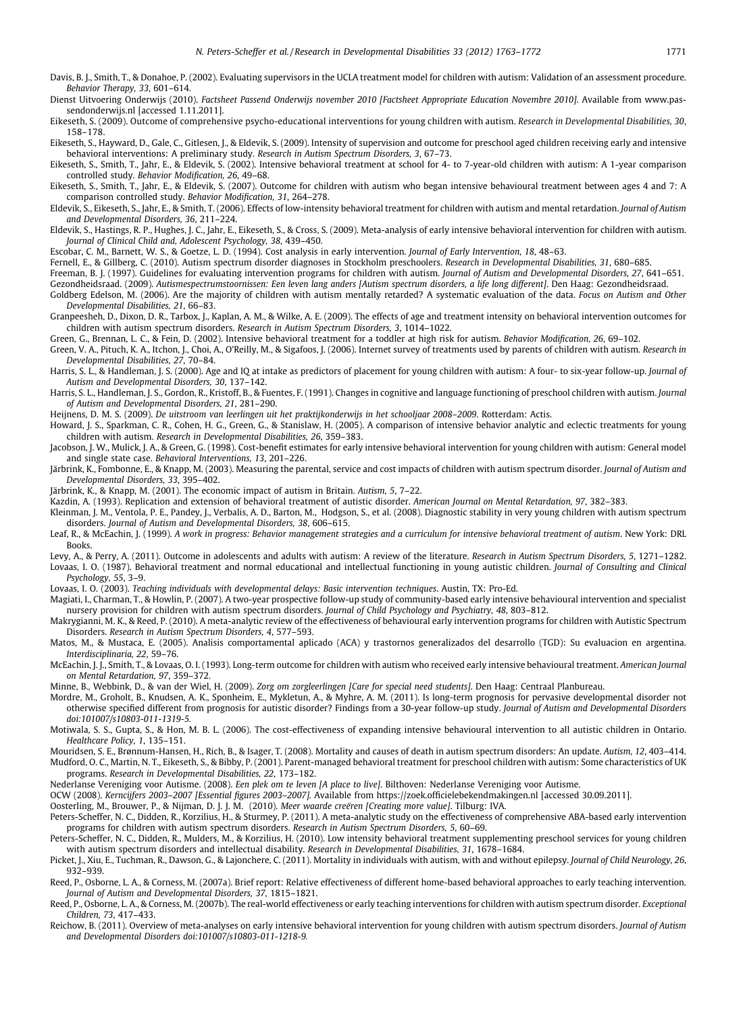- <span id="page-8-0"></span>Davis, B. J., Smith, T., & Donahoe, P. (2002). Evaluating supervisors in the UCLA treatment model for children with autism: Validation of an assessment procedure. Behavior Therapy, 33, 601–614.
- Dienst Uitvoering Onderwijs (2010). Factsheet Passend Onderwijs november 2010 [Factsheet Appropriate Education Novembre 2010]. Available from www.passendonderwijs.nl [accessed 1.11.2011].
- Eikeseth, S. (2009). Outcome of comprehensive psycho-educational interventions for young children with autism. Research in Developmental Disabilities, 30, 158–178.
- Eikeseth, S., Hayward, D., Gale, C., Gitlesen, J., & Eldevik, S. (2009). Intensity of supervision and outcome for preschool aged children receiving early and intensive behavioral interventions: A preliminary study. Research in Autism Spectrum Disorders, 3, 67–73.
- Eikeseth, S., Smith, T., Jahr, E., & Eldevik, S. (2002). Intensive behavioral treatment at school for 4- to 7-year-old children with autism: A 1-year comparison controlled study. Behavior Modification, 26, 49–68.
- Eikeseth, S., Smith, T., Jahr, E., & Eldevik, S. (2007). Outcome for children with autism who began intensive behavioural treatment between ages 4 and 7: A comparison controlled study. Behavior Modification, 31, 264–278.
- Eldevik, S., Eikeseth, S., Jahr, E., & Smith, T. (2006). Effects of low-intensity behavioral treatment for children with autism and mental retardation. Journal of Autism and Developmental Disorders, 36, 211–224.
- Eldevik, S., Hastings, R. P., Hughes, J. C., Jahr, E., Eikeseth, S., & Cross, S. (2009). Meta-analysis of early intensive behavioral intervention for children with autism. Journal of Clinical Child and, Adolescent Psychology, 38, 439–450.
- Escobar, C. M., Barnett, W. S., & Goetze, L. D. (1994). Cost analysis in early intervention. Journal of Early Intervention, 18, 48–63.
- Fernell, E., & Gillberg, C. (2010). Autism spectrum disorder diagnoses in Stockholm preschoolers. Research in Developmental Disabilities, 31, 680–685.
- Freeman, B. J. (1997). Guidelines for evaluating intervention programs for children with autism. Journal of Autism and Developmental Disorders, 27, 641–651. Gezondheidsraad. (2009). Autismespectrumstoornissen: Een leven lang anders [Autism spectrum disorders, a life long different]. Den Haag: Gezondheidsraad.
- Goldberg Edelson, M. (2006). Are the majority of children with autism mentally retarded? A systematic evaluation of the data. Focus on Autism and Other Developmental Disabilities, 21, 66–83.
- Granpeesheh, D., Dixon, D. R., Tarbox, J., Kaplan, A. M., & Wilke, A. E. (2009). The effects of age and treatment intensity on behavioral intervention outcomes for children with autism spectrum disorders. Research in Autism Spectrum Disorders, 3, 1014–1022.
- Green, G., Brennan, L. C., & Fein, D. (2002). Intensive behavioral treatment for a toddler at high risk for autism. Behavior Modification, 26, 69–102.
- Green, V. A., Pituch, K. A., Itchon, J., Choi, A., O'Reilly, M., & Sigafoos, J. (2006). Internet survey of treatments used by parents of children with autism. Research in Developmental Disabilities, 27, 70–84.
- Harris, S. L., & Handleman, J. S. (2000). Age and IQ at intake as predictors of placement for young children with autism: A four- to six-year follow-up. Journal of Autism and Developmental Disorders, 30, 137–142.
- Harris, S. L., Handleman, J. S., Gordon, R., Kristoff, B., & Fuentes, F. (1991). Changes in cognitive and language functioning of preschool children with autism. Journal of Autism and Developmental Disorders, 21, 281–290.
- Heijnens, D. M. S. (2009). De uitstroom van leerlingen uit het praktijkonderwijs in het schooljaar 2008–2009. Rotterdam: Actis.
- Howard, J. S., Sparkman, C. R., Cohen, H. G., Green, G., & Stanislaw, H. (2005). A comparison of intensive behavior analytic and eclectic treatments for young children with autism. Research in Developmental Disabilities, 26, 359–383.
- Jacobson, J. W., Mulick, J. A., & Green, G. (1998). Cost-benefit estimates for early intensive behavioral intervention for young children with autism: General model and single state case. Behavioral Interventions, 13, 201–226.
- Järbrink, K., Fombonne, E., & Knapp, M. (2003). Measuring the parental, service and cost impacts of children with autism spectrum disorder. Journal of Autism and Developmental Disorders, 33, 395–402.
- Järbrink, K., & Knapp, M. (2001). The economic impact of autism in Britain. Autism, 5, 7–22.
- Kazdin, A. (1993). Replication and extension of behavioral treatment of autistic disorder. American Journal on Mental Retardation, 97, 382–383.
- Kleinman, J. M., Ventola, P. E., Pandey, J., Verbalis, A. D., Barton, M., Hodgson, S., et al. (2008). Diagnostic stability in very young children with autism spectrum disorders. Journal of Autism and Developmental Disorders, 38, 606–615.
- Leaf, R., & McEachin, J. (1999). A work in progress: Behavior management strategies and a curriculum for intensive behavioral treatment of autism. New York: DRL **Books**
- Levy, A., & Perry, A. (2011). Outcome in adolescents and adults with autism: A review of the literature. Research in Autism Spectrum Disorders, 5, 1271–1282.
- Lovaas, I. O. (1987). Behavioral treatment and normal educational and intellectual functioning in young autistic children. Journal of Consulting and Clinical Psychology, 55, 3–9.
- Lovaas, I. O. (2003). Teaching individuals with developmental delays: Basic intervention techniques. Austin, TX: Pro-Ed.
- Magiati, I., Charman, T., & Howlin, P. (2007). A two-year prospective follow-up study of community-based early intensive behavioural intervention and specialist nursery provision for children with autism spectrum disorders. Journal of Child Psychology and Psychiatry, 48, 803–812.
- Makrygianni, M. K., & Reed, P. (2010). A meta-analytic review of the effectiveness of behavioural early intervention programs for children with Autistic Spectrum Disorders. Research in Autism Spectrum Disorders, 4, 577–593.
- Matos, M., & Mustaca, E. (2005). Analisis comportamental aplicado (ACA) y trastornos generalizados del desarrollo (TGD): Su evaluacion en argentina. Interdisciplinaria, 22, 59–76.
- McEachin, J. J., Smith, T., & Lovaas, O. I. (1993). Long-term outcome for children with autism who received early intensive behavioural treatment. American Journal on Mental Retardation, 97, 359–372.
- Minne, B., Webbink, D., & van der Wiel, H. (2009). Zorg om zorgleerlingen [Care for special need students]. Den Haag: Centraal Planbureau.
- Mordre, M., Groholt, B., Knudsen, A. K., Sponheim, E., Mykletun, A., & Myhre, A. M. (2011). Is long-term prognosis for pervasive developmental disorder not otherwise specified different from prognosis for autistic disorder? Findings from a 30-year follow-up study. Journal of Autism and Developmental Disorders doi:101007/s10803-011-1319-5.
- Motiwala, S. S., Gupta, S., & Hon, M. B. L. (2006). The cost-effectiveness of expanding intensive behavioural intervention to all autistic children in Ontario. Healthcare Policy, 1, 135–151.
- Mouridsen, S. E., Brønnum-Hansen, H., Rich, B., & Isager, T. (2008). Mortality and causes of death in autism spectrum disorders: An update. Autism, 12, 403–414. Mudford, O. C., Martin, N. T., Eikeseth, S., & Bibby, P. (2001). Parent-managed behavioral treatment for preschool children with autism: Some characteristics of UK programs. Research in Developmental Disabilities, 22, 173–182.
- Nederlanse Vereniging voor Autisme. (2008). Een plek om te leven [A place to live]. Bilthoven: Nederlanse Vereniging voor Autisme.
- OCW (2008). Kerncijfers 2003–2007 [Essential figures 2003–2007]. Available from https://zoek.officielebekendmakingen.nl [accessed 30.09.2011].

Oosterling, M., Brouwer, P., & Nijman, D. J. J. M. (2010). Meer waarde creëren [Creating more value]. Tilburg: IVA

- Peters-Scheffer, N. C., Didden, R., Korzilius, H., & Sturmey, P. (2011). A meta-analytic study on the effectiveness of comprehensive ABA-based early intervention programs for children with autism spectrum disorders. Research in Autism Spectrum Disorders, 5, 60–69.
- Peters-Scheffer, N. C., Didden, R., Mulders, M., & Korzilius, H. (2010). Low intensity behavioral treatment supplementing preschool services for young children with autism spectrum disorders and intellectual disability. Research in Developmental Disabilities, 31, 1678–1684.
- Picket, J., Xiu, E., Tuchman, R., Dawson, G., & Lajonchere, C. (2011). Mortality in individuals with autism, with and without epilepsy. Journal of Child Neurology, 26, 932–939.
- Reed, P., Osborne, L. A., & Corness, M. (2007a). Brief report: Relative effectiveness of different home-based behavioral approaches to early teaching intervention. Journal of Autism and Developmental Disorders, 37, 1815–1821.
- Reed, P., Osborne, L. A., & Corness, M. (2007b). The real-world effectiveness or early teaching interventions for children with autism spectrum disorder. Exceptional Children, 73, 417–433.
- Reichow, B. (2011). Overview of meta-analyses on early intensive behavioral intervention for young children with autism spectrum disorders. Journal of Autism and Developmental Disorders doi:101007/s10803-011-1218-9.